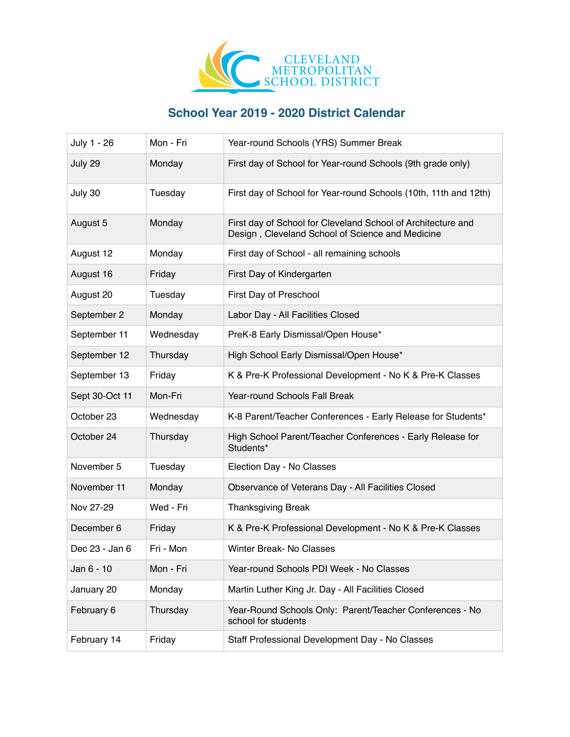

## **School Year 2019 - 2020 District Calendar**

| July 1 - 26    | Mon - Fri | Year-round Schools (YRS) Summer Break                                                                            |
|----------------|-----------|------------------------------------------------------------------------------------------------------------------|
| July 29        | Monday    | First day of School for Year-round Schools (9th grade only)                                                      |
| July 30        | Tuesday   | First day of School for Year-round Schools (10th, 11th and 12th)                                                 |
| August 5       | Monday    | First day of School for Cleveland School of Architecture and<br>Design, Cleveland School of Science and Medicine |
| August 12      | Monday    | First day of School - all remaining schools                                                                      |
| August 16      | Friday    | First Day of Kindergarten                                                                                        |
| August 20      | Tuesday   | First Day of Preschool                                                                                           |
| September 2    | Monday    | Labor Day - All Facilities Closed                                                                                |
| September 11   | Wednesday | PreK-8 Early Dismissal/Open House*                                                                               |
| September 12   | Thursday  | High School Early Dismissal/Open House*                                                                          |
| September 13   | Friday    | K & Pre-K Professional Development - No K & Pre-K Classes                                                        |
| Sept 30-Oct 11 | Mon-Fri   | Year-round Schools Fall Break                                                                                    |
| October 23     | Wednesday | K-8 Parent/Teacher Conferences - Early Release for Students*                                                     |
| October 24     | Thursday  | High School Parent/Teacher Conferences - Early Release for<br>Students*                                          |
| November 5     | Tuesday   | Election Day - No Classes                                                                                        |
| November 11    | Monday    | Observance of Veterans Day - All Facilities Closed                                                               |
| Nov 27-29      | Wed - Fri | <b>Thanksgiving Break</b>                                                                                        |
| December 6     | Friday    | K & Pre-K Professional Development - No K & Pre-K Classes                                                        |
| Dec 23 - Jan 6 | Fri - Mon | Winter Break- No Classes                                                                                         |
| Jan 6 - 10     | Mon - Fri | Year-round Schools PDI Week - No Classes                                                                         |
| January 20     | Monday    | Martin Luther King Jr. Day - All Facilities Closed                                                               |
| February 6     | Thursday  | Year-Round Schools Only: Parent/Teacher Conferences - No<br>school for students                                  |
| February 14    | Friday    | Staff Professional Development Day - No Classes                                                                  |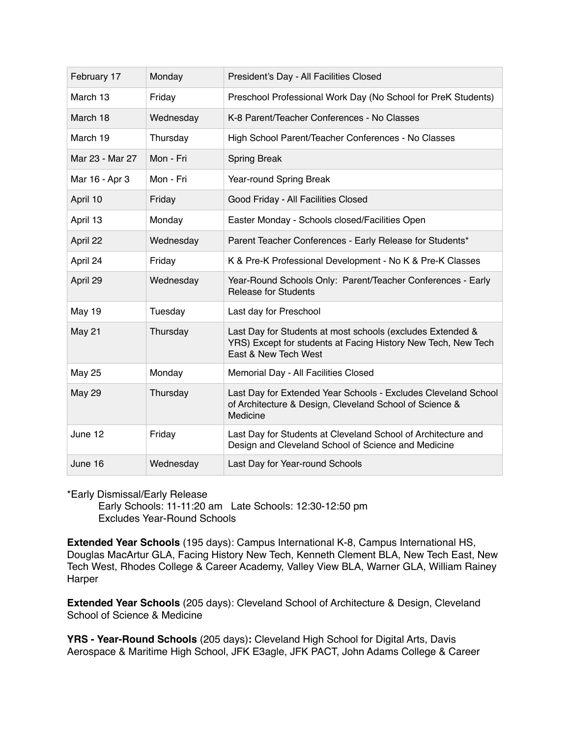| February 17     | Monday    | President's Day - All Facilities Closed                                                                                                             |
|-----------------|-----------|-----------------------------------------------------------------------------------------------------------------------------------------------------|
| March 13        | Friday    | Preschool Professional Work Day (No School for PreK Students)                                                                                       |
| March 18        | Wednesday | K-8 Parent/Teacher Conferences - No Classes                                                                                                         |
| March 19        | Thursday  | High School Parent/Teacher Conferences - No Classes                                                                                                 |
| Mar 23 - Mar 27 | Mon - Fri | <b>Spring Break</b>                                                                                                                                 |
| Mar 16 - Apr 3  | Mon - Fri | Year-round Spring Break                                                                                                                             |
| April 10        | Friday    | Good Friday - All Facilities Closed                                                                                                                 |
| April 13        | Monday    | Easter Monday - Schools closed/Facilities Open                                                                                                      |
| April 22        | Wednesday | Parent Teacher Conferences - Early Release for Students*                                                                                            |
| April 24        | Friday    | K & Pre-K Professional Development - No K & Pre-K Classes                                                                                           |
| April 29        | Wednesday | Year-Round Schools Only: Parent/Teacher Conferences - Early<br><b>Release for Students</b>                                                          |
| <b>May 19</b>   | Tuesday   | Last day for Preschool                                                                                                                              |
| May 21          | Thursday  | Last Day for Students at most schools (excludes Extended &<br>YRS) Except for students at Facing History New Tech, New Tech<br>East & New Tech West |
| <b>May 25</b>   | Monday    | Memorial Day - All Facilities Closed                                                                                                                |
| <b>May 29</b>   | Thursday  | Last Day for Extended Year Schools - Excludes Cleveland School<br>of Architecture & Design, Cleveland School of Science &<br>Medicine               |
| June 12         | Friday    | Last Day for Students at Cleveland School of Architecture and<br>Design and Cleveland School of Science and Medicine                                |
| June 16         | Wednesday | Last Day for Year-round Schools                                                                                                                     |

## \*Early Dismissal/Early Release

 Early Schools: 11-11:20 am Late Schools: 12:30-12:50 pm Excludes Year-Round Schools

**Extended Year Schools** (195 days): Campus International K-8, Campus International HS, Douglas MacArtur GLA, Facing History New Tech, Kenneth Clement BLA, New Tech East, New Tech West, Rhodes College & Career Academy, Valley View BLA, Warner GLA, William Rainey Harper

**Extended Year Schools** (205 days): Cleveland School of Architecture & Design, Cleveland School of Science & Medicine

**YRS - Year-Round Schools** (205 days)**:** Cleveland High School for Digital Arts, Davis Aerospace & Maritime High School, JFK E3agle, JFK PACT, John Adams College & Career